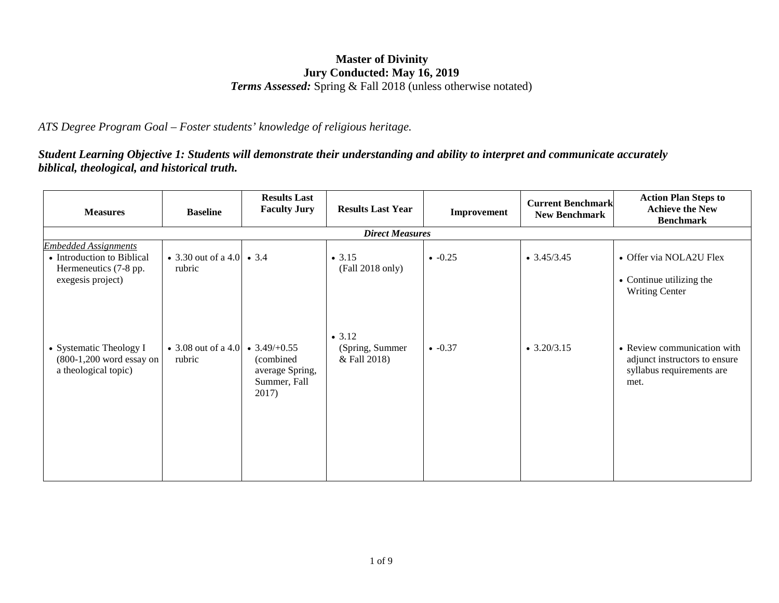## **Master of Divinity Jury Conducted: May 16, 2019** *Terms Assessed:* Spring & Fall 2018 (unless otherwise notated)

*ATS Degree Program Goal – Foster students' knowledge of religious heritage.*

*Student Learning Objective 1: Students will demonstrate their understanding and ability to interpret and communicate accurately biblical, theological, and historical truth.*

| <b>Baseline</b>                      | <b>Results Last</b><br><b>Faculty Jury</b>             | <b>Results Last Year</b>                                        | Improvement | <b>Current Benchmark</b><br><b>New Benchmark</b> | <b>Action Plan Steps to</b><br><b>Achieve the New</b><br><b>Benchmark</b>                         |  |  |  |
|--------------------------------------|--------------------------------------------------------|-----------------------------------------------------------------|-------------|--------------------------------------------------|---------------------------------------------------------------------------------------------------|--|--|--|
| <b>Direct Measures</b>               |                                                        |                                                                 |             |                                                  |                                                                                                   |  |  |  |
| rubric                               |                                                        | $\bullet$ 3.15<br>(Fall 2018 only)                              | $-0.25$     | $\bullet$ 3.45/3.45                              | • Offer via NOLA2U Flex<br>• Continue utilizing the<br><b>Writing Center</b>                      |  |  |  |
| rubric<br>$(800-1,200$ word essay on | (combined)<br>average Spring,<br>Summer, Fall<br>2017) | • 3.12<br>(Spring, Summer<br>& Fall 2018)                       | $-0.37$     | $\bullet$ 3.20/3.15                              | • Review communication with<br>adjunct instructors to ensure<br>syllabus requirements are<br>met. |  |  |  |
|                                      |                                                        | • 3.30 out of a 4.0   • 3.4<br>• 3.08 out of a 4.0 • 3.49/+0.55 |             |                                                  |                                                                                                   |  |  |  |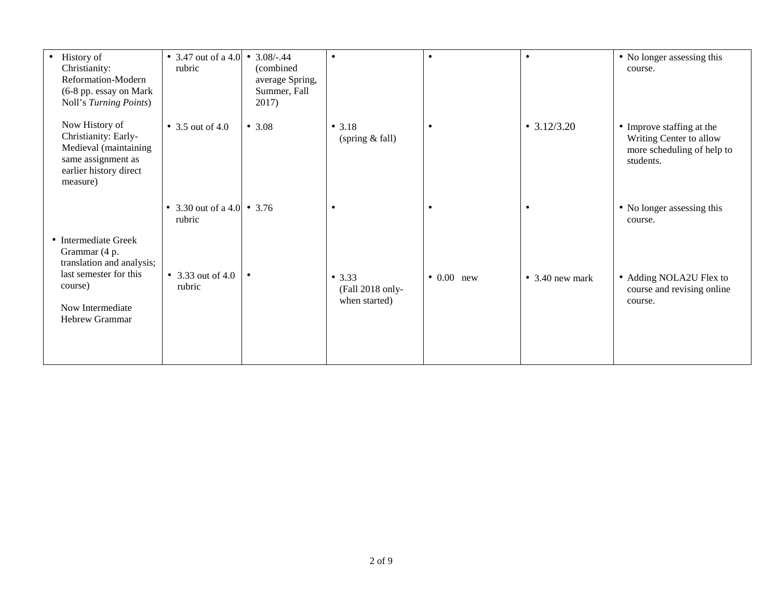| History of<br>Christianity:<br>Reformation-Modern<br>(6-8 pp. essay on Mark<br>Noll's Turning Points)                       | • 3.47 out of a 4.0 • 3.08/-.44<br>rubric | (combined)<br>average Spring,<br>Summer, Fall<br>2017) | $\bullet$                                   | $\bullet$          |                         | • No longer assessing this<br>course.                                                           |
|-----------------------------------------------------------------------------------------------------------------------------|-------------------------------------------|--------------------------------------------------------|---------------------------------------------|--------------------|-------------------------|-------------------------------------------------------------------------------------------------|
| Now History of<br>Christianity: Early-<br>Medieval (maintaining<br>same assignment as<br>earlier history direct<br>measure) | • 3.5 out of 4.0                          | • 3.08                                                 | • $3.18$<br>(spring & fall)                 | $\bullet$          | • $3.12/3.20$           | • Improve staffing at the<br>Writing Center to allow<br>more scheduling of help to<br>students. |
| • Intermediate Greek                                                                                                        | • 3.30 out of a 4.0 • 3.76<br>rubric      |                                                        | $\bullet$                                   | $\bullet$          | $\bullet$               | • No longer assessing this<br>course.                                                           |
| Grammar (4 p.<br>translation and analysis;<br>last semester for this<br>course)<br>Now Intermediate<br>Hebrew Grammar       | • 3.33 out of 4.0<br>rubric               |                                                        | • 3.33<br>(Fall 2018 only-<br>when started) | $\bullet$ 0.00 new | $\bullet$ 3.40 new mark | • Adding NOLA2U Flex to<br>course and revising online<br>course.                                |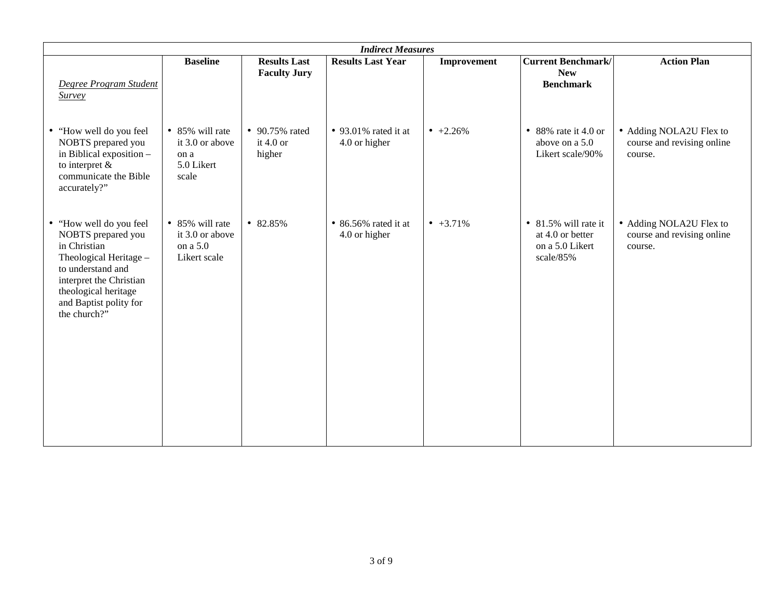| <b>Indirect Measures</b>                                                                                                                                                                                             |                                                                   |                                            |                                       |                  |                                                                          |                                                                  |  |
|----------------------------------------------------------------------------------------------------------------------------------------------------------------------------------------------------------------------|-------------------------------------------------------------------|--------------------------------------------|---------------------------------------|------------------|--------------------------------------------------------------------------|------------------------------------------------------------------|--|
| Degree Program Student<br><b>Survey</b>                                                                                                                                                                              | <b>Baseline</b>                                                   | <b>Results Last</b><br><b>Faculty Jury</b> | <b>Results Last Year</b>              | Improvement      | <b>Current Benchmark/</b><br><b>New</b><br><b>Benchmark</b>              | <b>Action Plan</b>                                               |  |
| "How well do you feel<br>$\bullet$<br>NOBTS prepared you<br>in Biblical exposition -<br>to interpret $\&$<br>communicate the Bible<br>accurately?"                                                                   | • 85% will rate<br>it 3.0 or above<br>on a<br>5.0 Likert<br>scale | • 90.75% rated<br>it $4.0$ or<br>higher    | • 93.01% rated it at<br>4.0 or higher | $+2.26\%$        | • 88% rate it 4.0 or<br>above on a 5.0<br>Likert scale/90%               | • Adding NOLA2U Flex to<br>course and revising online<br>course. |  |
| "How well do you feel<br>$\bullet$<br>NOBTS prepared you<br>in Christian<br>Theological Heritage -<br>to understand and<br>interpret the Christian<br>theological heritage<br>and Baptist polity for<br>the church?" | • 85% will rate<br>it 3.0 or above<br>on a 5.0<br>Likert scale    | • 82.85%                                   | • 86.56% rated it at<br>4.0 or higher | $\bullet$ +3.71% | • 81.5% will rate it<br>at 4.0 or better<br>on a 5.0 Likert<br>scale/85% | • Adding NOLA2U Flex to<br>course and revising online<br>course. |  |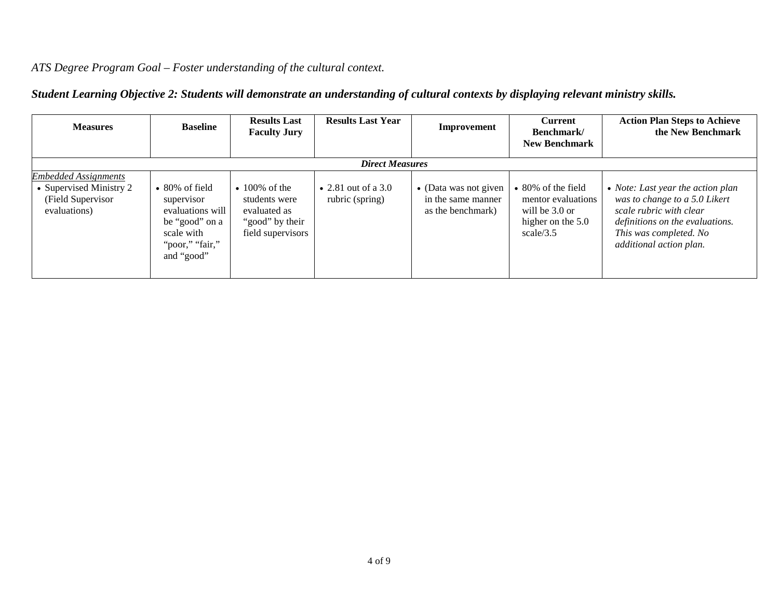## *ATS Degree Program Goal – Foster understanding of the cultural context.*

| <b>Measures</b>                                                                             | <b>Baseline</b>                                                                                                           | <b>Results Last</b><br><b>Faculty Jury</b>                                                   | <b>Results Last Year</b>               | Improvement                                                      | <b>Current</b><br>Benchmark/<br><b>New Benchmark</b>                                                 | <b>Action Plan Steps to Achieve</b><br>the New Benchmark                                                                                                                              |  |  |  |
|---------------------------------------------------------------------------------------------|---------------------------------------------------------------------------------------------------------------------------|----------------------------------------------------------------------------------------------|----------------------------------------|------------------------------------------------------------------|------------------------------------------------------------------------------------------------------|---------------------------------------------------------------------------------------------------------------------------------------------------------------------------------------|--|--|--|
|                                                                                             | <b>Direct Measures</b>                                                                                                    |                                                                                              |                                        |                                                                  |                                                                                                      |                                                                                                                                                                                       |  |  |  |
| <b>Embedded Assignments</b><br>• Supervised Ministry 2<br>(Field Supervisor<br>evaluations) | $\bullet$ 80% of field<br>supervisor<br>evaluations will<br>be "good" on a<br>scale with<br>"poor," "fair,"<br>and "good" | $\cdot$ 100% of the<br>students were<br>evaluated as<br>"good" by their<br>field supervisors | • 2.81 out of a 3.0<br>rubric (spring) | • (Data was not given<br>in the same manner<br>as the benchmark) | $\bullet$ 80% of the field<br>mentor evaluations<br>will be 3.0 or<br>higher on the 5.0<br>scale/3.5 | • Note: Last year the action plan<br>was to change to a 5.0 Likert<br>scale rubric with clear<br>definitions on the evaluations.<br>This was completed. No<br>additional action plan. |  |  |  |

## *Student Learning Objective 2: Students will demonstrate an understanding of cultural contexts by displaying relevant ministry skills.*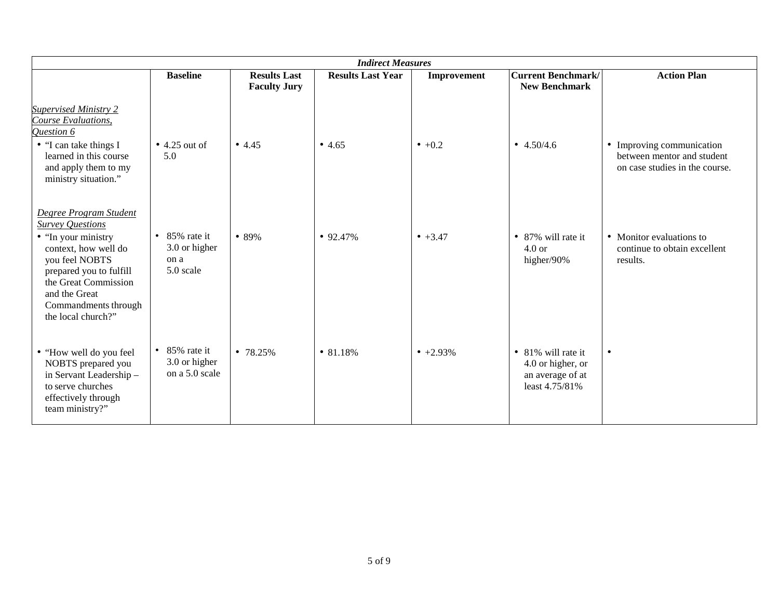| <b>Indirect Measures</b>                                                                                                                                                                                                             |                                                             |                                            |                          |                  |                                                                               |                                                                                           |  |
|--------------------------------------------------------------------------------------------------------------------------------------------------------------------------------------------------------------------------------------|-------------------------------------------------------------|--------------------------------------------|--------------------------|------------------|-------------------------------------------------------------------------------|-------------------------------------------------------------------------------------------|--|
|                                                                                                                                                                                                                                      | <b>Baseline</b>                                             | <b>Results Last</b><br><b>Faculty Jury</b> | <b>Results Last Year</b> | Improvement      | <b>Current Benchmark/</b><br><b>New Benchmark</b>                             | <b>Action Plan</b>                                                                        |  |
| <b>Supervised Ministry 2</b><br>Course Evaluations,<br>Question 6<br>• "I can take things I<br>learned in this course<br>and apply them to my<br>ministry situation."                                                                | $\bullet$ 4.25 out of<br>5.0                                | • $4.45$                                   | •4.65                    | $\bullet$ +0.2   | • $4.50/4.6$                                                                  | • Improving communication<br>between mentor and student<br>on case studies in the course. |  |
| Degree Program Student<br><b>Survey Questions</b><br>• "In your ministry<br>context, how well do<br>you feel NOBTS<br>prepared you to fulfill<br>the Great Commission<br>and the Great<br>Commandments through<br>the local church?" | $\bullet$ 85% rate it<br>3.0 or higher<br>on a<br>5.0 scale | • 89%                                      | • $92.47\%$              | $• +3.47$        | • 87% will rate it<br>$4.0$ or<br>higher/90%                                  | • Monitor evaluations to<br>continue to obtain excellent<br>results.                      |  |
| • "How well do you feel<br>NOBTS prepared you<br>in Servant Leadership-<br>to serve churches<br>effectively through<br>team ministry?"                                                                                               | $\bullet$ 85% rate it<br>3.0 or higher<br>on a 5.0 scale    | • $78.25%$                                 | • 81.18%                 | $\bullet$ +2.93% | • 81% will rate it<br>4.0 or higher, or<br>an average of at<br>least 4.75/81% | $\bullet$                                                                                 |  |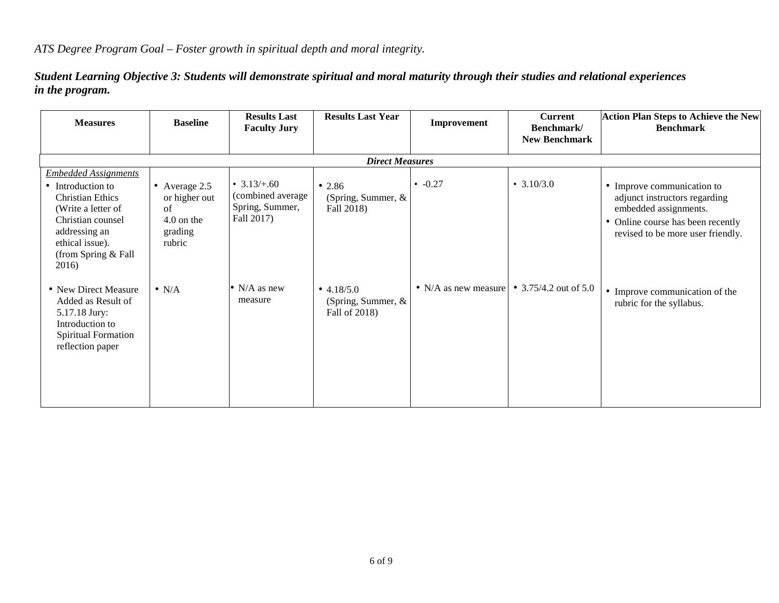*Student Learning Objective 3: Students will demonstrate spiritual and moral maturity through their studies and relational experiences in the program.*

| <b>Measures</b>                                                                                                                                                                            | <b>Baseline</b>                                                             | <b>Results Last</b><br><b>Faculty Jury</b>                           | <b>Results Last Year</b>                               | Improvement            | <b>Current</b><br>Benchmark/<br><b>New Benchmark</b> | <b>Action Plan Steps to Achieve the New</b><br><b>Benchmark</b>                                                                                                |  |  |  |
|--------------------------------------------------------------------------------------------------------------------------------------------------------------------------------------------|-----------------------------------------------------------------------------|----------------------------------------------------------------------|--------------------------------------------------------|------------------------|------------------------------------------------------|----------------------------------------------------------------------------------------------------------------------------------------------------------------|--|--|--|
| <b>Direct Measures</b>                                                                                                                                                                     |                                                                             |                                                                      |                                                        |                        |                                                      |                                                                                                                                                                |  |  |  |
| <b>Embedded Assignments</b><br>• Introduction to<br><b>Christian Ethics</b><br>(Write a letter of<br>Christian counsel<br>addressing an<br>ethical issue).<br>(from Spring & Fall<br>2016) | • Average $2.5$<br>or higher out<br>of<br>$4.0$ on the<br>grading<br>rubric | • $3.13/+.60$<br>(combined average)<br>Spring, Summer,<br>Fall 2017) | • 2.86<br>(Spring, Summer, $\&$<br>Fall 2018)          | $-0.27$                | • $3.10/3.0$                                         | • Improve communication to<br>adjunct instructors regarding<br>embedded assignments.<br>• Online course has been recently<br>revised to be more user friendly. |  |  |  |
| • New Direct Measure<br>Added as Result of<br>5.17.18 Jury:<br>Introduction to<br>Spiritual Formation<br>reflection paper                                                                  | $\bullet$ N/A                                                               | • N/A as new<br>measure                                              | • $4.18/5.0$<br>(Spring, Summer, $\&$<br>Fall of 2018) | • $N/A$ as new measure | • 3.75/4.2 out of 5.0                                | • Improve communication of the<br>rubric for the syllabus.                                                                                                     |  |  |  |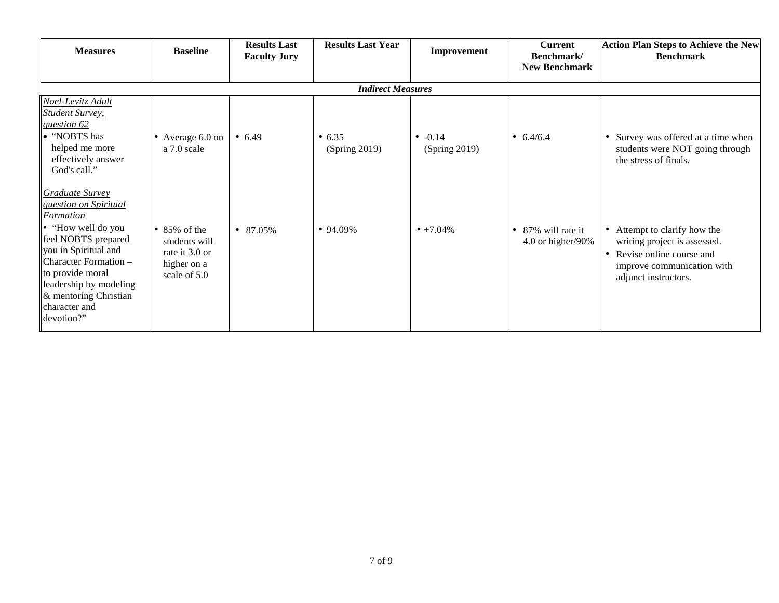| <b>Measures</b>                                                                                                                                                                                                                                           | <b>Baseline</b>                                                                        | <b>Results Last</b><br><b>Faculty Jury</b> | <b>Results Last Year</b> | Improvement                | <b>Current</b><br>Benchmark/<br><b>New Benchmark</b> | <b>Action Plan Steps to Achieve the New</b><br><b>Benchmark</b>                                                                              |  |  |  |  |
|-----------------------------------------------------------------------------------------------------------------------------------------------------------------------------------------------------------------------------------------------------------|----------------------------------------------------------------------------------------|--------------------------------------------|--------------------------|----------------------------|------------------------------------------------------|----------------------------------------------------------------------------------------------------------------------------------------------|--|--|--|--|
|                                                                                                                                                                                                                                                           | <b>Indirect Measures</b>                                                               |                                            |                          |                            |                                                      |                                                                                                                                              |  |  |  |  |
| Noel-Levitz Adult<br><b>Student Survey</b> ,<br>question 62<br>• "NOBTS has<br>helped me more<br>effectively answer<br>God's call."                                                                                                                       | • Average 6.0 on<br>a 7.0 scale                                                        | • 6.49                                     | • 6.35<br>(Spring 2019)  | • $-0.14$<br>(Spring 2019) | • $6.4/6.4$                                          | Survey was offered at a time when<br>students were NOT going through<br>the stress of finals.                                                |  |  |  |  |
| Graduate Survey<br>question on Spiritual<br>Formation<br>• "How well do you<br>feel NOBTS prepared<br>you in Spiritual and<br>Character Formation -<br>to provide moral<br>leadership by modeling<br>& mentoring Christian<br>character and<br>devotion?" | $\bullet$ 85% of the<br>students will<br>rate it 3.0 or<br>higher on a<br>scale of 5.0 | $\bullet$ 87.05%                           | $• 94.09\%$              | $\bullet +7.04\%$          | • 87% will rate it<br>$4.0$ or higher/90%            | Attempt to clarify how the<br>writing project is assessed.<br>Revise online course and<br>improve communication with<br>adjunct instructors. |  |  |  |  |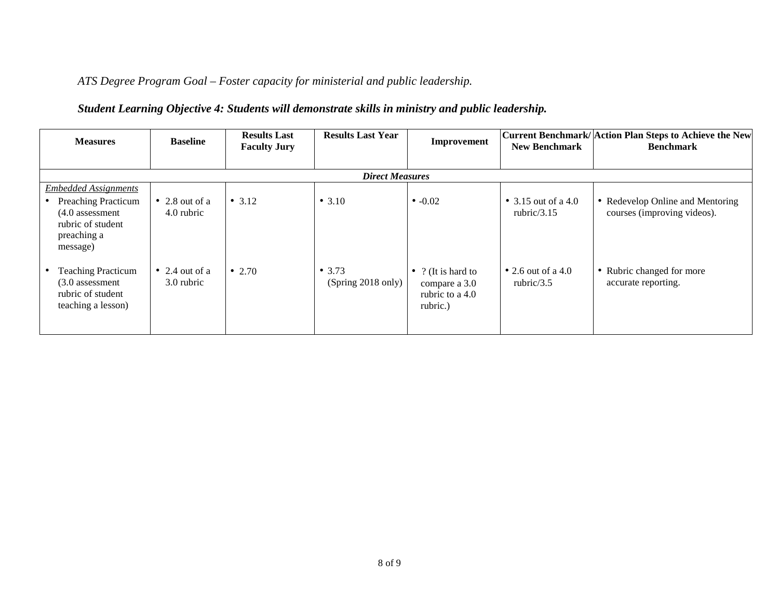*ATS Degree Program Goal – Foster capacity for ministerial and public leadership.*

## *Student Learning Objective 4: Students will demonstrate skills in ministry and public leadership.*

| <b>Measures</b>                                                                                 | <b>Baseline</b>                      | <b>Results Last</b><br><b>Faculty Jury</b> | <b>Results Last Year</b>       | Improvement                                                        | <b>New Benchmark</b>                  | Current Benchmark/ Action Plan Steps to Achieve the New<br><b>Benchmark</b> |
|-------------------------------------------------------------------------------------------------|--------------------------------------|--------------------------------------------|--------------------------------|--------------------------------------------------------------------|---------------------------------------|-----------------------------------------------------------------------------|
|                                                                                                 |                                      |                                            |                                |                                                                    |                                       |                                                                             |
|                                                                                                 |                                      |                                            | <b>Direct Measures</b>         |                                                                    |                                       |                                                                             |
| <b>Embedded Assignments</b>                                                                     |                                      |                                            |                                |                                                                    |                                       |                                                                             |
| <b>Preaching Practicum</b><br>$(4.0$ assessment<br>rubric of student<br>preaching a<br>message) | $\bullet$ 2.8 out of a<br>4.0 rubric | • $3.12$                                   | • 3.10                         | $\bullet$ -0.02                                                    | • 3.15 out of a 4.0<br>rubric/ $3.15$ | • Redevelop Online and Mentoring<br>courses (improving videos).             |
| <b>Teaching Practicum</b><br>$(3.0$ assessment<br>rubric of student<br>teaching a lesson)       | • 2.4 out of a<br>3.0 rubric         | • 2.70                                     | • $3.73$<br>(Spring 2018 only) | • ? (It is hard to<br>compare a 3.0<br>rubric to a 4.0<br>rubric.) | • 2.6 out of a 4.0<br>rubric/ $3.5$   | • Rubric changed for more<br>accurate reporting.                            |